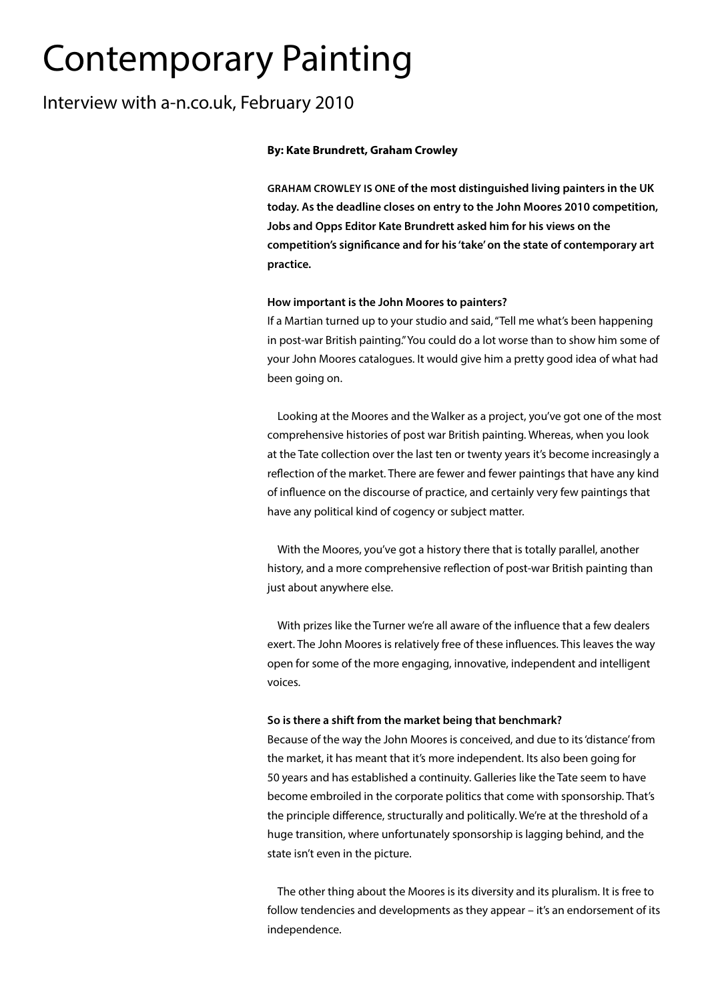# Contemporary Painting

## Interview with a-n.co.uk, February 2010

## **By: Kate Brundrett, Graham Crowley**

**GRAHAM CROWLEY IS ONE of the most distinguished living painters in the UK today. As the deadline closes on entry to the John Moores 2010 competition, Jobs and Opps Editor Kate Brundrett asked him for his views on the competition's significance and for his 'take' on the state of contemporary art practice.**

## **How important is the John Moores to painters?**

If a Martian turned up to your studio and said, "Tell me what's been happening in post-war British painting." You could do a lot worse than to show him some of your John Moores catalogues. It would give him a pretty good idea of what had been going on.

Looking at the Moores and the Walker as a project, you've got one of the most comprehensive histories of post war British painting. Whereas, when you look at the Tate collection over the last ten or twenty years it's become increasingly a reflection of the market. There are fewer and fewer paintings that have any kind of influence on the discourse of practice, and certainly very few paintings that have any political kind of cogency or subject matter.

With the Moores, you've got a history there that is totally parallel, another history, and a more comprehensive reflection of post-war British painting than just about anywhere else.

With prizes like the Turner we're all aware of the influence that a few dealers exert. The John Moores is relatively free of these influences. This leaves the way open for some of the more engaging, innovative, independent and intelligent voices.

## **So is there a shift from the market being that benchmark?**

Because of the way the John Moores is conceived, and due to its 'distance' from the market, it has meant that it's more independent. Its also been going for 50 years and has established a continuity. Galleries like the Tate seem to have become embroiled in the corporate politics that come with sponsorship. That's the principle difference, structurally and politically. We're at the threshold of a huge transition, where unfortunately sponsorship is lagging behind, and the state isn't even in the picture.

The other thing about the Moores is its diversity and its pluralism. It is free to follow tendencies and developments as they appear – it's an endorsement of its independence.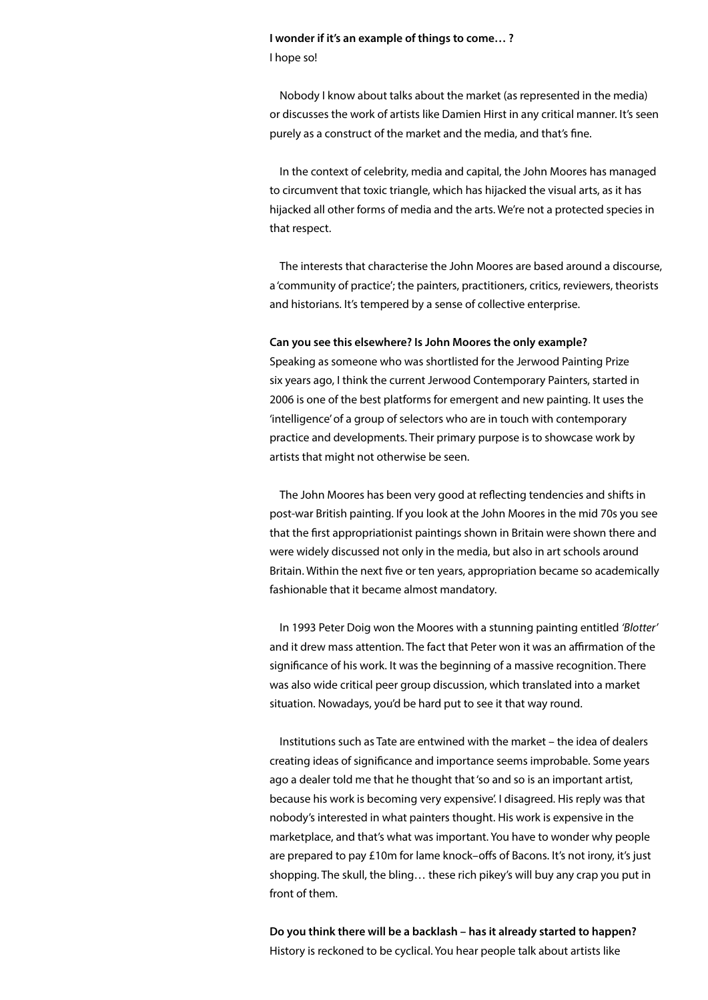## **I wonder if it's an example of things to come… ?** I hope so!

Nobody I know about talks about the market (as represented in the media) or discusses the work of artists like Damien Hirst in any critical manner. It's seen purely as a construct of the market and the media, and that's fine.

In the context of celebrity, media and capital, the John Moores has managed to circumvent that toxic triangle, which has hijacked the visual arts, as it has hijacked all other forms of media and the arts. We're not a protected species in that respect.

The interests that characterise the John Moores are based around a discourse, a 'community of practice'; the painters, practitioners, critics, reviewers, theorists and historians. It's tempered by a sense of collective enterprise.

## **Can you see this elsewhere? Is John Moores the only example?**

Speaking as someone who was shortlisted for the Jerwood Painting Prize six years ago, I think the current Jerwood Contemporary Painters, started in 2006 is one of the best platforms for emergent and new painting. It uses the 'intelligence' of a group of selectors who are in touch with contemporary practice and developments. Their primary purpose is to showcase work by artists that might not otherwise be seen.

The John Moores has been very good at reflecting tendencies and shifts in post-war British painting. If you look at the John Moores in the mid 70s you see that the first appropriationist paintings shown in Britain were shown there and were widely discussed not only in the media, but also in art schools around Britain. Within the next five or ten years, appropriation became so academically fashionable that it became almost mandatory.

In 1993 Peter Doig won the Moores with a stunning painting entitled *'Blotter'*  and it drew mass attention. The fact that Peter won it was an affirmation of the significance of his work. It was the beginning of a massive recognition. There was also wide critical peer group discussion, which translated into a market situation. Nowadays, you'd be hard put to see it that way round.

Institutions such as Tate are entwined with the market – the idea of dealers creating ideas of significance and importance seems improbable. Some years ago a dealer told me that he thought that 'so and so is an important artist, because his work is becoming very expensive'. I disagreed. His reply was that nobody's interested in what painters thought. His work is expensive in the marketplace, and that's what was important. You have to wonder why people are prepared to pay £10m for lame knock–offs of Bacons. It's not irony, it's just shopping. The skull, the bling… these rich pikey's will buy any crap you put in front of them.

**Do you think there will be a backlash – has it already started to happen?** History is reckoned to be cyclical. You hear people talk about artists like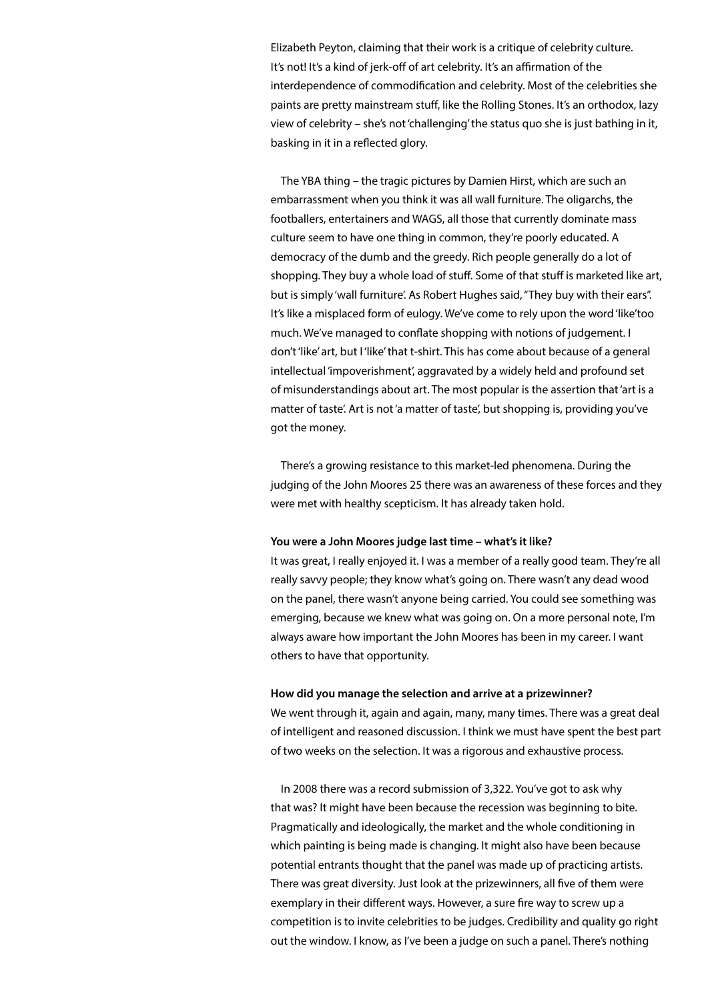Elizabeth Peyton, claiming that their work is a critique of celebrity culture. It's not! It's a kind of jerk-off of art celebrity. It's an affirmation of the interdependence of commodification and celebrity. Most of the celebrities she paints are pretty mainstream stuff, like the Rolling Stones. It's an orthodox, lazy view of celebrity – she's not 'challenging' the status quo she is just bathing in it, basking in it in a reflected glory.

The YBA thing – the tragic pictures by Damien Hirst, which are such an embarrassment when you think it was all wall furniture. The oligarchs, the footballers, entertainers and WAGS, all those that currently dominate mass culture seem to have one thing in common, they're poorly educated. A democracy of the dumb and the greedy. Rich people generally do a lot of shopping. They buy a whole load of stuff. Some of that stuff is marketed like art, but is simply 'wall furniture'. As Robert Hughes said, "They buy with their ears". It's like a misplaced form of eulogy. We've come to rely upon the word 'like'too much. We've managed to conflate shopping with notions of judgement. I don't 'like' art, but I 'like' that t-shirt. This has come about because of a general intellectual 'impoverishment', aggravated by a widely held and profound set of misunderstandings about art. The most popular is the assertion that 'art is a matter of taste'. Art is not 'a matter of taste', but shopping is, providing you've got the money.

There's a growing resistance to this market-led phenomena. During the judging of the John Moores 25 there was an awareness of these forces and they were met with healthy scepticism. It has already taken hold.

## **You were a John Moores judge last time – what's it like?**

It was great, I really enjoyed it. I was a member of a really good team. They're all really savvy people; they know what's going on. There wasn't any dead wood on the panel, there wasn't anyone being carried. You could see something was emerging, because we knew what was going on. On a more personal note, I'm always aware how important the John Moores has been in my career. I want others to have that opportunity.

### **How did you manage the selection and arrive at a prizewinner?**

We went through it, again and again, many, many times. There was a great deal of intelligent and reasoned discussion. I think we must have spent the best part of two weeks on the selection. It was a rigorous and exhaustive process.

In 2008 there was a record submission of 3,322. You've got to ask why that was? It might have been because the recession was beginning to bite. Pragmatically and ideologically, the market and the whole conditioning in which painting is being made is changing. It might also have been because potential entrants thought that the panel was made up of practicing artists. There was great diversity. Just look at the prizewinners, all five of them were exemplary in their different ways. However, a sure fire way to screw up a competition is to invite celebrities to be judges. Credibility and quality go right out the window. I know, as I've been a judge on such a panel. There's nothing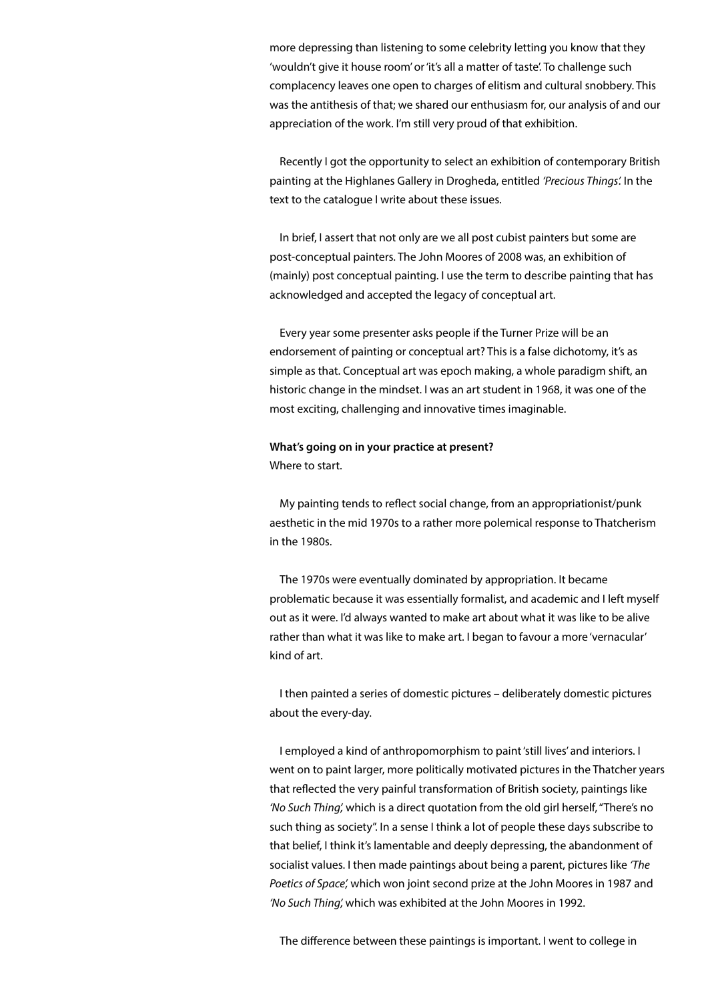more depressing than listening to some celebrity letting you know that they 'wouldn't give it house room' or 'it's all a matter of taste'. To challenge such complacency leaves one open to charges of elitism and cultural snobbery. This was the antithesis of that; we shared our enthusiasm for, our analysis of and our appreciation of the work. I'm still very proud of that exhibition.

Recently I got the opportunity to select an exhibition of contemporary British painting at the Highlanes Gallery in Drogheda, entitled *'Precious Things'.* In the text to the catalogue I write about these issues.

In brief, I assert that not only are we all post cubist painters but some are post-conceptual painters. The John Moores of 2008 was, an exhibition of (mainly) post conceptual painting. I use the term to describe painting that has acknowledged and accepted the legacy of conceptual art.

Every year some presenter asks people if the Turner Prize will be an endorsement of painting or conceptual art? This is a false dichotomy, it's as simple as that. Conceptual art was epoch making, a whole paradigm shift, an historic change in the mindset. I was an art student in 1968, it was one of the most exciting, challenging and innovative times imaginable.

## **What's going on in your practice at present?** Where to start.

My painting tends to reflect social change, from an appropriationist/punk aesthetic in the mid 1970s to a rather more polemical response to Thatcherism in the 1980s.

The 1970s were eventually dominated by appropriation. It became problematic because it was essentially formalist, and academic and I left myself out as it were. I'd always wanted to make art about what it was like to be alive rather than what it was like to make art. I began to favour a more 'vernacular' kind of art.

I then painted a series of domestic pictures – deliberately domestic pictures about the every-day.

I employed a kind of anthropomorphism to paint 'still lives' and interiors. I went on to paint larger, more politically motivated pictures in the Thatcher years that reflected the very painful transformation of British society, paintings like *'No Such Thing',* which is a direct quotation from the old girl herself, "There's no such thing as society". In a sense I think a lot of people these days subscribe to that belief, I think it's lamentable and deeply depressing, the abandonment of socialist values. I then made paintings about being a parent, pictures like *'The Poetics of Space',* which won joint second prize at the John Moores in 1987 and *'No Such Thing',* which was exhibited at the John Moores in 1992.

The difference between these paintings is important. I went to college in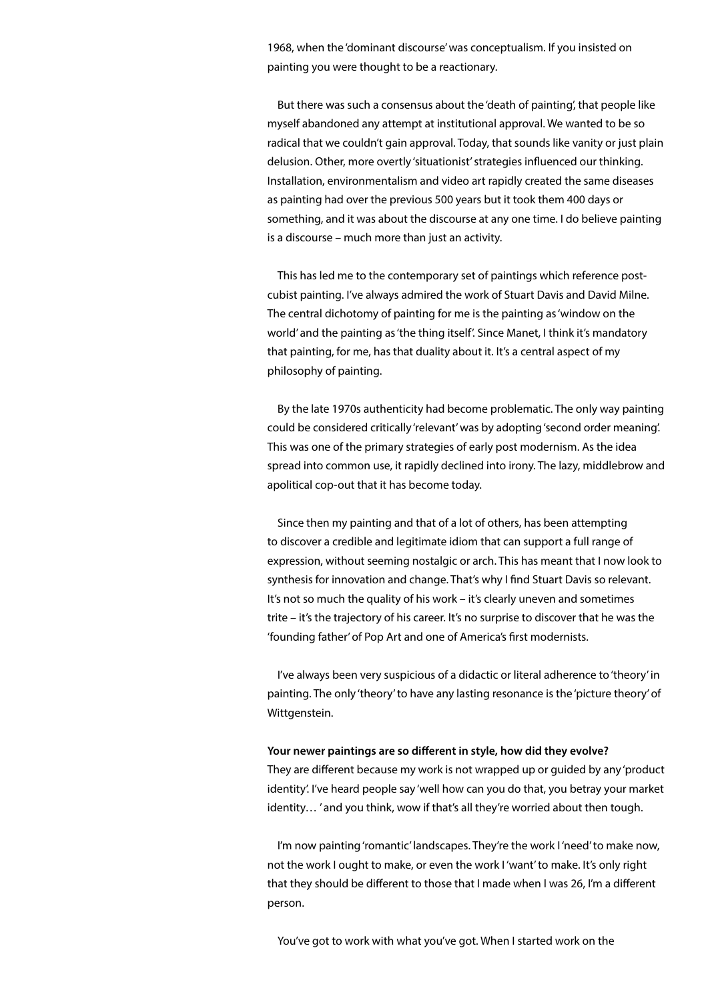1968, when the 'dominant discourse' was conceptualism. If you insisted on painting you were thought to be a reactionary.

But there was such a consensus about the 'death of painting', that people like myself abandoned any attempt at institutional approval. We wanted to be so radical that we couldn't gain approval. Today, that sounds like vanity or just plain delusion. Other, more overtly 'situationist' strategies influenced our thinking. Installation, environmentalism and video art rapidly created the same diseases as painting had over the previous 500 years but it took them 400 days or something, and it was about the discourse at any one time. I do believe painting is a discourse – much more than just an activity.

This has led me to the contemporary set of paintings which reference postcubist painting. I've always admired the work of Stuart Davis and David Milne. The central dichotomy of painting for me is the painting as 'window on the world' and the painting as 'the thing itself'. Since Manet, I think it's mandatory that painting, for me, has that duality about it. It's a central aspect of my philosophy of painting.

By the late 1970s authenticity had become problematic. The only way painting could be considered critically 'relevant' was by adopting 'second order meaning'. This was one of the primary strategies of early post modernism. As the idea spread into common use, it rapidly declined into irony. The lazy, middlebrow and apolitical cop-out that it has become today.

Since then my painting and that of a lot of others, has been attempting to discover a credible and legitimate idiom that can support a full range of expression, without seeming nostalgic or arch. This has meant that I now look to synthesis for innovation and change. That's why I find Stuart Davis so relevant. It's not so much the quality of his work – it's clearly uneven and sometimes trite – it's the trajectory of his career. It's no surprise to discover that he was the 'founding father' of Pop Art and one of America's first modernists.

I've always been very suspicious of a didactic or literal adherence to 'theory' in painting. The only 'theory' to have any lasting resonance is the 'picture theory' of Wittgenstein.

## **Your newer paintings are so different in style, how did they evolve?**

They are different because my work is not wrapped up or guided by any 'product identity'. I've heard people say 'well how can you do that, you betray your market identity… ' and you think, wow if that's all they're worried about then tough.

I'm now painting 'romantic' landscapes. They're the work I 'need' to make now, not the work I ought to make, or even the work I 'want' to make. It's only right that they should be different to those that I made when I was 26, I'm a different person.

You've got to work with what you've got. When I started work on the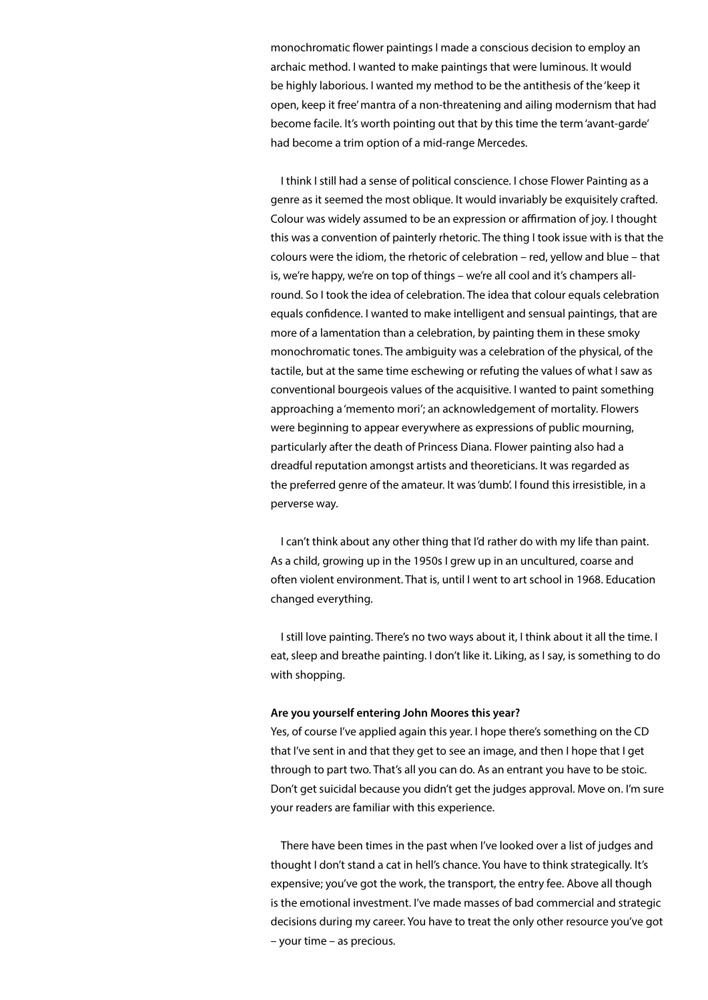monochromatic flower paintings I made a conscious decision to employ an archaic method. I wanted to make paintings that were luminous. It would be highly laborious. I wanted my method to be the antithesis of the 'keep it open, keep it free' mantra of a non-threatening and ailing modernism that had become facile. It's worth pointing out that by this time the term 'avant-garde' had become a trim option of a mid-range Mercedes.

I think I still had a sense of political conscience. I chose Flower Painting as a genre as it seemed the most oblique. It would invariably be exquisitely crafted. Colour was widely assumed to be an expression or affirmation of joy. I thought this was a convention of painterly rhetoric. The thing I took issue with is that the colours were the idiom, the rhetoric of celebration – red, yellow and blue – that is, we're happy, we're on top of things – we're all cool and it's champers allround. So I took the idea of celebration. The idea that colour equals celebration equals confidence. I wanted to make intelligent and sensual paintings, that are more of a lamentation than a celebration, by painting them in these smoky monochromatic tones. The ambiguity was a celebration of the physical, of the tactile, but at the same time eschewing or refuting the values of what I saw as conventional bourgeois values of the acquisitive. I wanted to paint something approaching a 'memento mori'; an acknowledgement of mortality. Flowers were beginning to appear everywhere as expressions of public mourning, particularly after the death of Princess Diana. Flower painting also had a dreadful reputation amongst artists and theoreticians. It was regarded as the preferred genre of the amateur. It was 'dumb'. I found this irresistible, in a perverse way.

I can't think about any other thing that I'd rather do with my life than paint. As a child, growing up in the 1950s I grew up in an uncultured, coarse and often violent environment. That is, until I went to art school in 1968. Education changed everything.

I still love painting. There's no two ways about it, I think about it all the time. I eat, sleep and breathe painting. I don't like it. Liking, as I say, is something to do with shopping.

### **Are you yourself entering John Moores this year?**

Yes, of course I've applied again this year. I hope there's something on the CD that I've sent in and that they get to see an image, and then I hope that I get through to part two. That's all you can do. As an entrant you have to be stoic. Don't get suicidal because you didn't get the judges approval. Move on. I'm sure your readers are familiar with this experience.

There have been times in the past when I've looked over a list of judges and thought I don't stand a cat in hell's chance. You have to think strategically. It's expensive; you've got the work, the transport, the entry fee. Above all though is the emotional investment. I've made masses of bad commercial and strategic decisions during my career. You have to treat the only other resource you've got – your time – as precious.